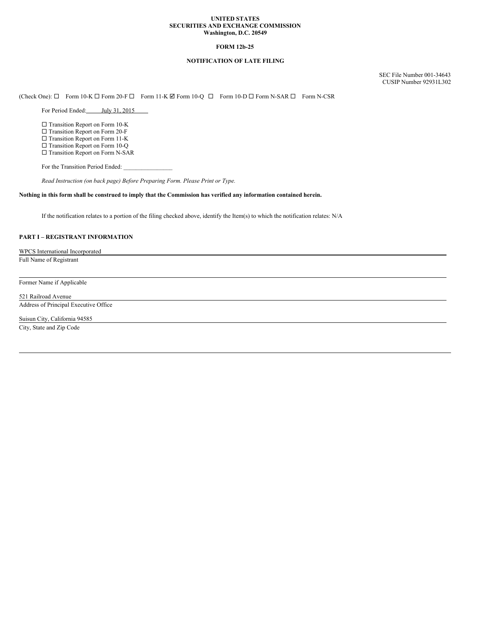#### **UNITED STATES SECURITIES AND EXCHANGE COMMISSION Washington, D.C. 20549**

### **FORM 12b-25**

## **NOTIFICATION OF LATE FILING**

SEC File Number 001-34643 CUSIP Number 92931L302

 $(Check One): \Box$  Form 10-K  $\Box$  Form 20-F  $\Box$  Form 11-K  $\Box$  Form 10-Q  $\Box$  Form N-D  $\Box$  Form N-SAR  $\Box$  Form N-CSR

For Period Ended: July 31, 2015

 $\Box$  <br> Transition Report on Form 10-K

□ Transition Report on Form 20-F

□ Transition Report on Form 11-K □ Transition Report on Form 10-Q

□ Transition Report on Form N-SAR

For the Transition Period Ended:

*Read Instruction (on back page) Before Preparing Form. Please Print or Type.*

### Nothing in this form shall be construed to imply that the Commission has verified any information contained herein.

If the notification relates to a portion of the filing checked above, identify the Item(s) to which the notification relates: N/A

# **PART I – REGISTRANT INFORMATION**

WPCS International Incorporated

Full Name of Registrant

Former Name if Applicable

521 Railroad Avenue Address of Principal Executive Office

Suisun City, California 94585

City, State and Zip Code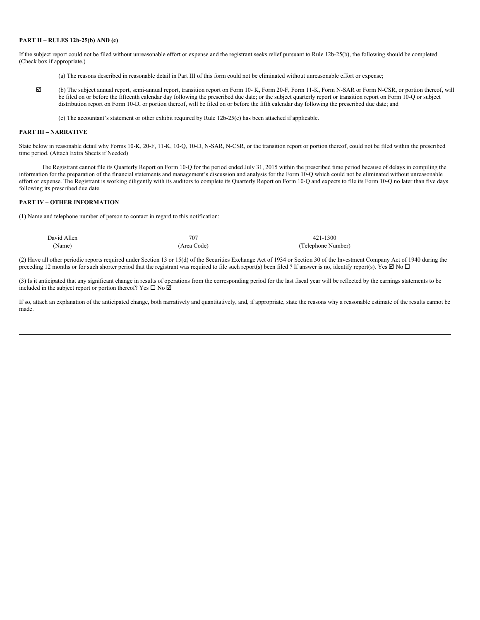### **PART II – RULES 12b-25(b) AND (c)**

If the subject report could not be filed without unreasonable effort or expense and the registrant seeks relief pursuant to Rule 12b-25(b), the following should be completed. (Check box if appropriate.)

- (a) The reasons described in reasonable detail in Part III of this form could not be eliminated without unreasonable effort or expense;
- $\boxtimes$  (b) The subject annual report, semi-annual report, transition report on Form 10- K, Form 20-F, Form 11-K, Form N-SAR or Form N-CSR, or portion thereof, will be filed on or before the fifteenth calendar day following the prescribed due date; or the subject quarterly report or transition report on Form 10-Q or subject distribution report on Form 10-D, or portion thereof, will be filed on or before the fifth calendar day following the prescribed due date; and
	- (c) The accountant's statement or other exhibit required by Rule 12b-25(c) has been attached if applicable.

# **PART III – NARRATIVE**

State below in reasonable detail why Forms 10-K, 20-F, 11-K, 10-Q, 10-D, N-SAR, N-CSR, or the transition report or portion thereof, could not be filed within the prescribed time period. (Attach Extra Sheets if Needed)

The Registrant cannot file its Quarterly Report on Form 10-Q for the period ended July 31, 2015 within the prescribed time period because of delays in compiling the information for the preparation of the financial statements and management's discussion and analysis for the Form 10-Q which could not be eliminated without unreasonable effort or expense. The Registrant is working diligently with its auditors to complete its Quarterly Report on Form 10-Q and expects to file its Form 10-Q no later than five days following its prescribed due date.

#### **PART IV – OTHER INFORMATION**

(1) Name and telephone number of person to contact in regard to this notification:

| David<br>Allen | $\neg \wedge \neg$<br>$\sqrt{0}$ | 300                |
|----------------|----------------------------------|--------------------|
| Name,          | a roo<br>`ode                    | Number<br>elenhone |

(2) Have all other periodic reports required under Section 13 or 15(d) of the Securities Exchange Act of 1934 or Section 30 of the Investment Company Act of 1940 during the preceding 12 months or for such shorter period that the registrant was required to file such report(s) been filed ? If answer is no, identify report(s). Yes  $\boxtimes$  No  $\Box$ 

(3) Is it anticipated that any significant change in results of operations from the corresponding period for the last fiscal year will be reflected by the earnings statements to be included in the subject report or portion thereof? Yes  $\Box$  No  $\Box$ 

If so, attach an explanation of the anticipated change, both narratively and quantitatively, and, if appropriate, state the reasons why a reasonable estimate of the results cannot be made.